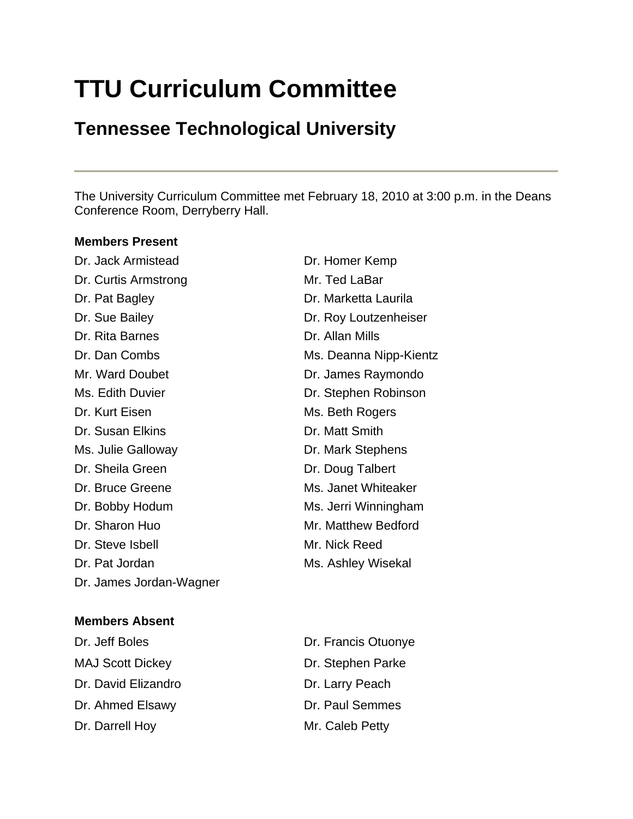# **TTU Curriculum Committee**

# **Tennessee Technological University**

The University Curriculum Committee met February 18, 2010 at 3:00 p.m. in the Deans Conference Room, Derryberry Hall.

#### **Members Present**

Dr. Jack Armistead Dr. Homer Kemp Dr. Curtis Armstrong Mr. Ted LaBar Dr. Pat Bagley **Dr. Marketta Laurila** Dr. Sue Bailey **Dr. Roy Loutzenheiser** Dr. Rita Barnes **Dr. Allan Mills** Dr. Dan Combs Ms. Deanna Nipp-Kientz Mr. Ward Doubet **Dr. James Raymondo** Ms. Edith Duvier **Dr. Stephen Robinson** Dr. Kurt Eisen Ms. Beth Rogers Dr. Susan Elkins **Dr. Matt Smith** Ms. Julie Galloway **Dr. Mark Stephens** Dr. Sheila Green Dr. Doug Talbert Dr. Bruce Greene Ms. Janet Whiteaker Dr. Bobby Hodum Ms. Jerri Winningham Dr. Sharon Huo **Mr. Matthew Bedford** Dr. Steve Isbell Mr. Nick Reed Dr. Pat Jordan Ms. Ashley Wisekal Dr. James Jordan-Wagner

# **Members Absent**

MAJ Scott Dickey Dr. Stephen Parke Dr. David Elizandro **Dr. Larry Peach** Dr. Ahmed Elsawy Dr. Paul Semmes Dr. Darrell Hoy Mr. Caleb Petty

Dr. Jeff Boles Dr. Francis Otuonye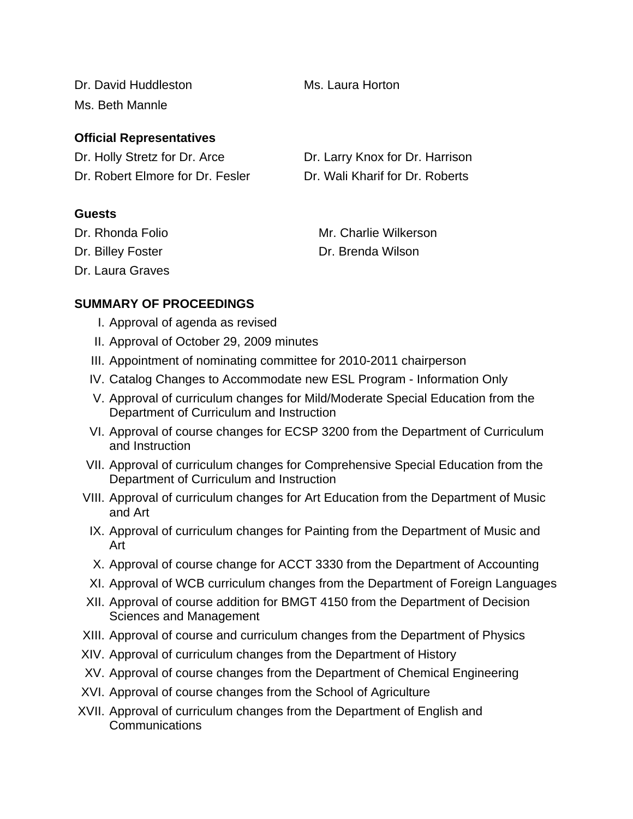Dr. David Huddleston Ms. Laura Horton Ms. Beth Mannle

**Official Representatives**

| Dr. Holly Stretz for Dr. Arce    | Dr. Larry Knox for Dr. Harrison |
|----------------------------------|---------------------------------|
| Dr. Robert Elmore for Dr. Fesler | Dr. Wali Kharif for Dr. Roberts |

#### **Guests**

Dr. Laura Graves

Dr. Rhonda Folio **Mr. Charlie Wilkerson** Dr. Billey Foster **Dr. Brenda Wilson** 

# **SUMMARY OF PROCEEDINGS**

- I. Approval of agenda as revised
- II. Approval of October 29, 2009 minutes
- III. Appointment of nominating committee for 2010-2011 chairperson
- IV. Catalog Changes to Accommodate new ESL Program Information Only
- V. Approval of curriculum changes for Mild/Moderate Special Education from the Department of Curriculum and Instruction
- VI. Approval of course changes for ECSP 3200 from the Department of Curriculum and Instruction
- VII. Approval of curriculum changes for Comprehensive Special Education from the Department of Curriculum and Instruction
- VIII. Approval of curriculum changes for Art Education from the Department of Music and Art
	- IX. Approval of curriculum changes for Painting from the Department of Music and Art
	- X. Approval of course change for ACCT 3330 from the Department of Accounting
	- XI. Approval of WCB curriculum changes from the Department of Foreign Languages
- XII. Approval of course addition for BMGT 4150 from the Department of Decision Sciences and Management
- XIII. Approval of course and curriculum changes from the Department of Physics
- XIV. Approval of curriculum changes from the Department of History
- XV. Approval of course changes from the Department of Chemical Engineering
- XVI. Approval of course changes from the School of Agriculture
- XVII. Approval of curriculum changes from the Department of English and Communications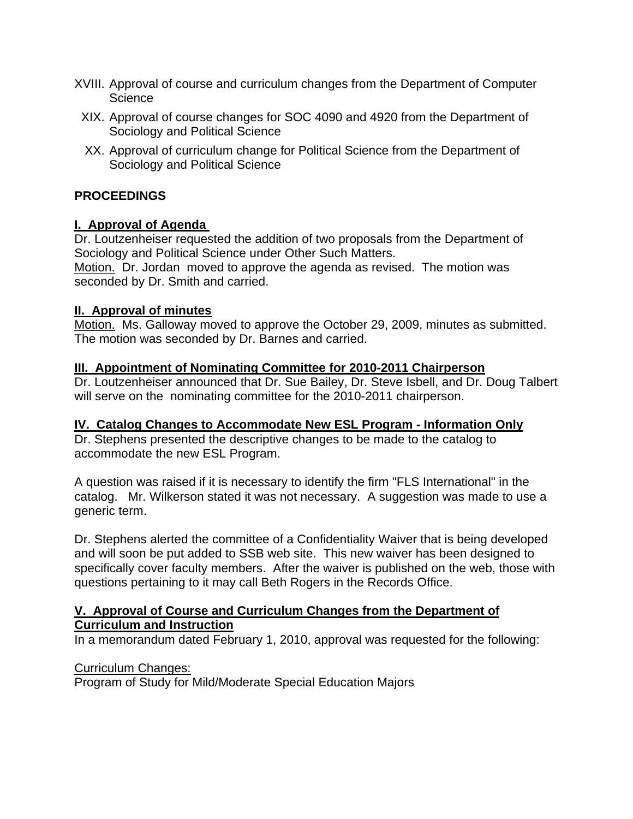- XVIII. Approval of course and curriculum changes from the Department of Computer **Science** 
	- XIX. Approval of course changes for SOC 4090 and 4920 from the Department of Sociology and Political Science
	- XX. Approval of curriculum change for Political Science from the Department of Sociology and Political Science

#### **PROCEEDINGS**

#### **I. Approval of Agenda**

Dr. Loutzenheiser requested the addition of two proposals from the Department of Sociology and Political Science under Other Such Matters. Motion. Dr. Jordan moved to approve the agenda as revised. The motion was seconded by Dr. Smith and carried.

#### **II. Approval of minutes**

Motion. Ms. Galloway moved to approve the October 29, 2009, minutes as submitted. The motion was seconded by Dr. Barnes and carried.

#### **III. Appointment of Nominating Committee for 2010-2011 Chairperson**

Dr. Loutzenheiser announced that Dr. Sue Bailey, Dr. Steve Isbell, and Dr. Doug Talbert will serve on the nominating committee for the 2010-2011 chairperson.

#### **IV. Catalog Changes to Accommodate New ESL Program - Information Only**

Dr. Stephens presented the descriptive changes to be made to the catalog to accommodate the new ESL Program.

A question was raised if it is necessary to identify the firm "FLS International" in the catalog. Mr. Wilkerson stated it was not necessary. A suggestion was made to use a generic term.

Dr. Stephens alerted the committee of a Confidentiality Waiver that is being developed and will soon be put added to SSB web site. This new waiver has been designed to specifically cover faculty members. After the waiver is published on the web, those with questions pertaining to it may call Beth Rogers in the Records Office.

#### **V. Approval of Course and Curriculum Changes from the Department of Curriculum and Instruction**

In a memorandum dated February 1, 2010, approval was requested for the following:

Curriculum Changes:

Program of Study for Mild/Moderate Special Education Majors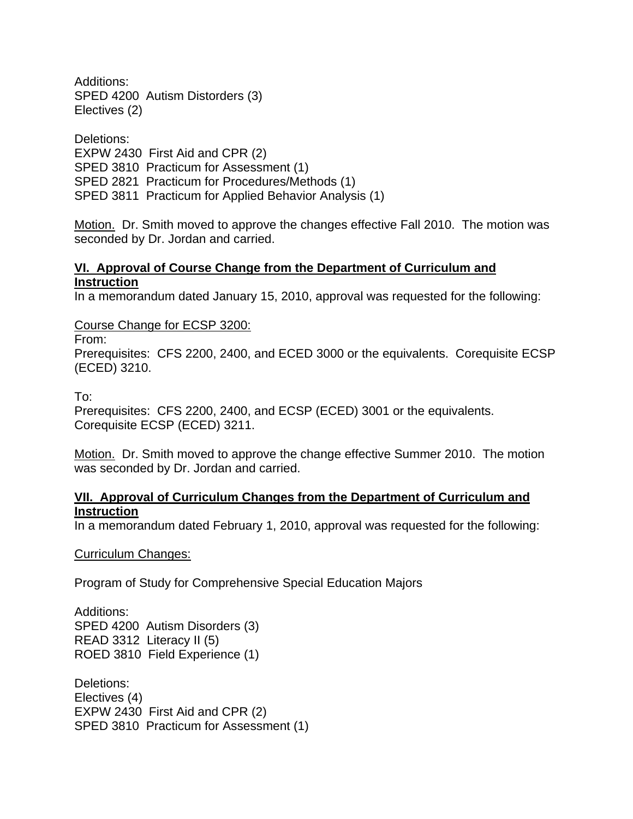Additions: SPED 4200 Autism Distorders (3) Electives (2)

Deletions: EXPW 2430 First Aid and CPR (2) SPED 3810 Practicum for Assessment (1) SPED 2821 Practicum for Procedures/Methods (1) SPED 3811 Practicum for Applied Behavior Analysis (1)

Motion. Dr. Smith moved to approve the changes effective Fall 2010. The motion was seconded by Dr. Jordan and carried.

#### **VI. Approval of Course Change from the Department of Curriculum and Instruction**

In a memorandum dated January 15, 2010, approval was requested for the following:

Course Change for ECSP 3200:

From:

Prerequisites: CFS 2200, 2400, and ECED 3000 or the equivalents. Corequisite ECSP (ECED) 3210.

To:

Prerequisites: CFS 2200, 2400, and ECSP (ECED) 3001 or the equivalents. Corequisite ECSP (ECED) 3211.

Motion. Dr. Smith moved to approve the change effective Summer 2010. The motion was seconded by Dr. Jordan and carried.

#### **VII. Approval of Curriculum Changes from the Department of Curriculum and Instruction**

In a memorandum dated February 1, 2010, approval was requested for the following:

#### Curriculum Changes:

Program of Study for Comprehensive Special Education Majors

Additions: SPED 4200 Autism Disorders (3) READ 3312 Literacy II (5) ROED 3810 Field Experience (1)

Deletions: Electives (4) EXPW 2430 First Aid and CPR (2) SPED 3810 Practicum for Assessment (1)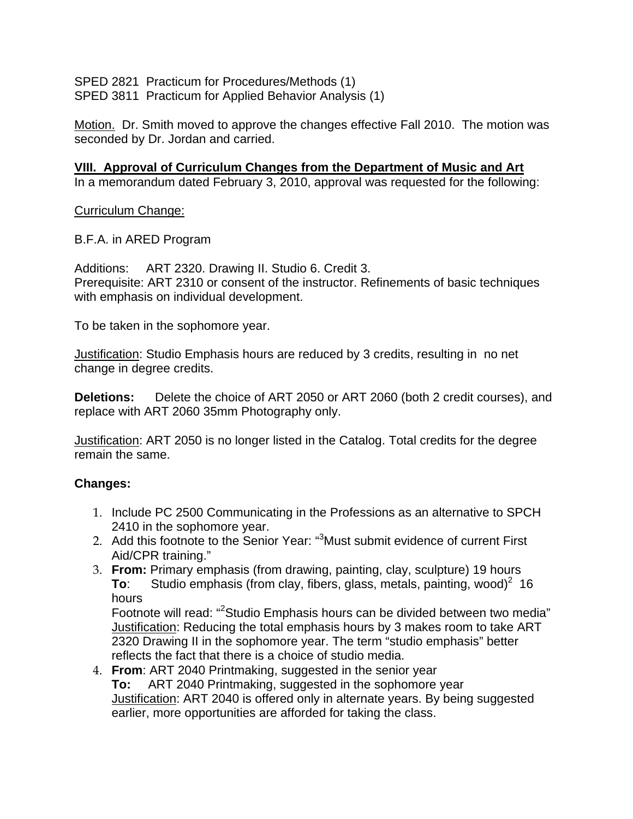SPED 2821 Practicum for Procedures/Methods (1) SPED 3811 Practicum for Applied Behavior Analysis (1)

Motion. Dr. Smith moved to approve the changes effective Fall 2010. The motion was seconded by Dr. Jordan and carried.

**VIII. Approval of Curriculum Changes from the Department of Music and Art** In a memorandum dated February 3, 2010, approval was requested for the following:

Curriculum Change:

B.F.A. in ARED Program

Additions: ART 2320. Drawing II. Studio 6. Credit 3. Prerequisite: ART 2310 or consent of the instructor. Refinements of basic techniques with emphasis on individual development.

To be taken in the sophomore year.

Justification: Studio Emphasis hours are reduced by 3 credits, resulting in no net change in degree credits.

**Deletions:** Delete the choice of ART 2050 or ART 2060 (both 2 credit courses), and replace with ART 2060 35mm Photography only.

Justification: ART 2050 is no longer listed in the Catalog. Total credits for the degree remain the same.

#### **Changes:**

- 1. Include PC 2500 Communicating in the Professions as an alternative to SPCH 2410 in the sophomore year.
- 2. Add this footnote to the Senior Year: "3Must submit evidence of current First Aid/CPR training."
- 3. **From:** Primary emphasis (from drawing, painting, clay, sculpture) 19 hours **To:** Studio emphasis (from clay, fibers, glass, metals, painting, wood)<sup>2</sup> 16 hours

Footnote will read: "<sup>2</sup>Studio Emphasis hours can be divided between two media" Justification: Reducing the total emphasis hours by 3 makes room to take ART 2320 Drawing II in the sophomore year. The term "studio emphasis" better reflects the fact that there is a choice of studio media.

4. **From**: ART 2040 Printmaking, suggested in the senior year **To:** ART 2040 Printmaking, suggested in the sophomore year Justification: ART 2040 is offered only in alternate years. By being suggested earlier, more opportunities are afforded for taking the class.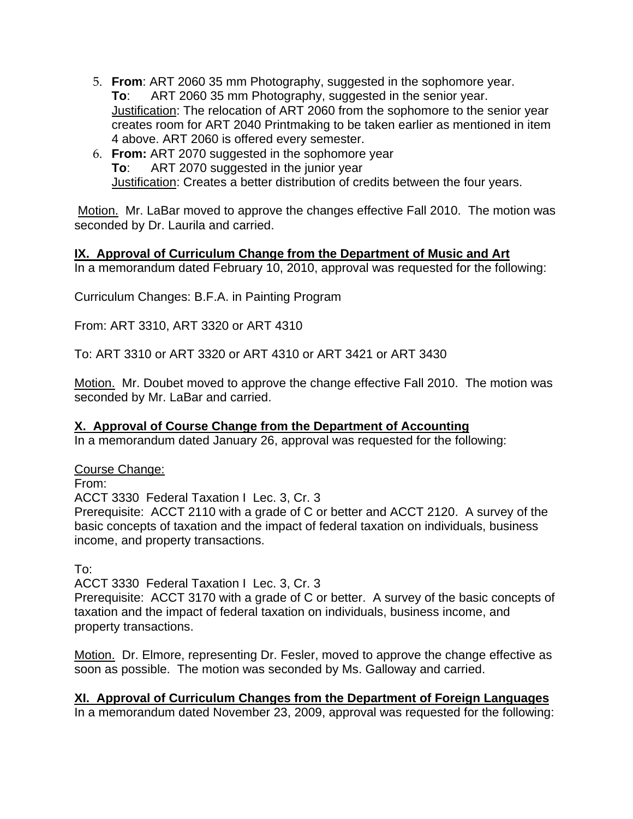- 5. **From**: ART 2060 35 mm Photography, suggested in the sophomore year. **To**: ART 2060 35 mm Photography, suggested in the senior year. Justification: The relocation of ART 2060 from the sophomore to the senior year creates room for ART 2040 Printmaking to be taken earlier as mentioned in item 4 above. ART 2060 is offered every semester.
- 6. **From:** ART 2070 suggested in the sophomore year **To**: ART 2070 suggested in the junior year Justification: Creates a better distribution of credits between the four years.

 Motion. Mr. LaBar moved to approve the changes effective Fall 2010. The motion was seconded by Dr. Laurila and carried.

# **IX. Approval of Curriculum Change from the Department of Music and Art**

In a memorandum dated February 10, 2010, approval was requested for the following:

Curriculum Changes: B.F.A. in Painting Program

From: ART 3310, ART 3320 or ART 4310

To: ART 3310 or ART 3320 or ART 4310 or ART 3421 or ART 3430

Motion. Mr. Doubet moved to approve the change effective Fall 2010. The motion was seconded by Mr. LaBar and carried.

#### **X. Approval of Course Change from the Department of Accounting**

In a memorandum dated January 26, approval was requested for the following:

Course Change:

From:

ACCT 3330 Federal Taxation I Lec. 3, Cr. 3

Prerequisite: ACCT 2110 with a grade of C or better and ACCT 2120. A survey of the basic concepts of taxation and the impact of federal taxation on individuals, business income, and property transactions.

To:

ACCT 3330 Federal Taxation I Lec. 3, Cr. 3

Prerequisite: ACCT 3170 with a grade of C or better. A survey of the basic concepts of taxation and the impact of federal taxation on individuals, business income, and property transactions.

Motion. Dr. Elmore, representing Dr. Fesler, moved to approve the change effective as soon as possible. The motion was seconded by Ms. Galloway and carried.

**XI. Approval of Curriculum Changes from the Department of Foreign Languages** In a memorandum dated November 23, 2009, approval was requested for the following: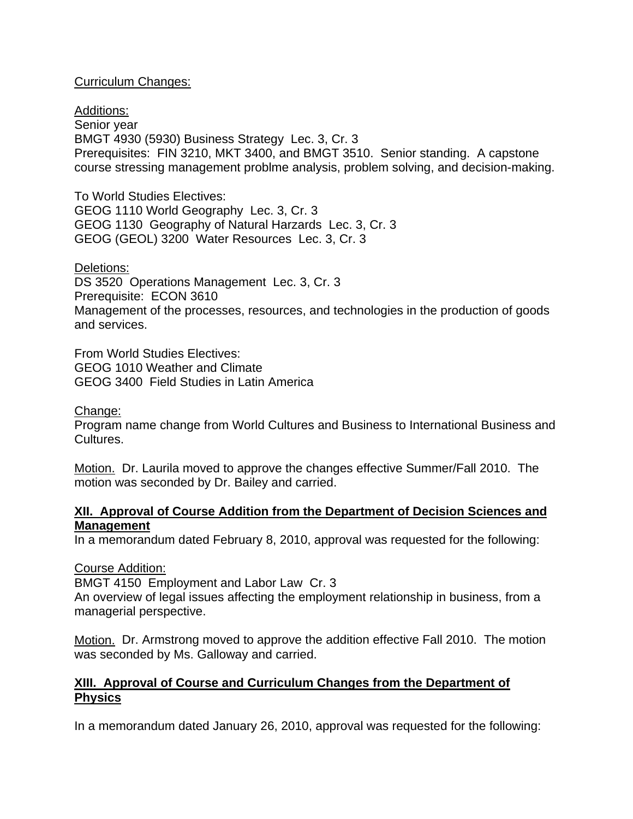#### Curriculum Changes:

Additions: Senior year BMGT 4930 (5930) Business Strategy Lec. 3, Cr. 3 Prerequisites: FIN 3210, MKT 3400, and BMGT 3510. Senior standing. A capstone course stressing management problme analysis, problem solving, and decision-making.

To World Studies Electives: GEOG 1110 World Geography Lec. 3, Cr. 3 GEOG 1130 Geography of Natural Harzards Lec. 3, Cr. 3 GEOG (GEOL) 3200 Water Resources Lec. 3, Cr. 3

#### Deletions:

DS 3520 Operations Management Lec. 3, Cr. 3 Prerequisite: ECON 3610 Management of the processes, resources, and technologies in the production of goods and services.

From World Studies Electives: GEOG 1010 Weather and Climate GEOG 3400 Field Studies in Latin America

#### Change:

Program name change from World Cultures and Business to International Business and Cultures.

Motion. Dr. Laurila moved to approve the changes effective Summer/Fall 2010. The motion was seconded by Dr. Bailey and carried.

#### **XII. Approval of Course Addition from the Department of Decision Sciences and Management**

In a memorandum dated February 8, 2010, approval was requested for the following:

#### Course Addition:

BMGT 4150 Employment and Labor Law Cr. 3

An overview of legal issues affecting the employment relationship in business, from a managerial perspective.

Motion. Dr. Armstrong moved to approve the addition effective Fall 2010. The motion was seconded by Ms. Galloway and carried.

#### **XIII. Approval of Course and Curriculum Changes from the Department of Physics**

In a memorandum dated January 26, 2010, approval was requested for the following: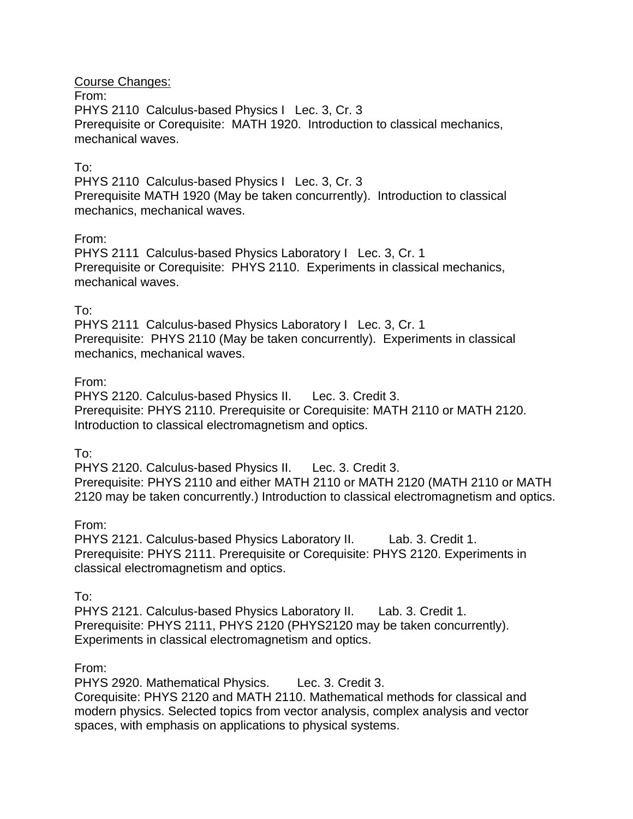Course Changes: From: PHYS 2110 Calculus-based Physics I Lec. 3, Cr. 3 Prerequisite or Corequisite: MATH 1920. Introduction to classical mechanics, mechanical waves.

#### To:

PHYS 2110 Calculus-based Physics I Lec. 3, Cr. 3 Prerequisite MATH 1920 (May be taken concurrently). Introduction to classical mechanics, mechanical waves.

#### From:

PHYS 2111 Calculus-based Physics Laboratory I Lec. 3, Cr. 1 Prerequisite or Corequisite: PHYS 2110. Experiments in classical mechanics, mechanical waves.

#### To:

PHYS 2111 Calculus-based Physics Laboratory I Lec. 3, Cr. 1 Prerequisite: PHYS 2110 (May be taken concurrently). Experiments in classical mechanics, mechanical waves.

#### From:

PHYS 2120. Calculus-based Physics II. Lec. 3. Credit 3. Prerequisite: PHYS 2110. Prerequisite or Corequisite: MATH 2110 or MATH 2120. Introduction to classical electromagnetism and optics.

#### To:

PHYS 2120. Calculus-based Physics II. Lec. 3. Credit 3. Prerequisite: PHYS 2110 and either MATH 2110 or MATH 2120 (MATH 2110 or MATH 2120 may be taken concurrently.) Introduction to classical electromagnetism and optics.

#### From:

PHYS 2121. Calculus-based Physics Laboratory II. Lab. 3. Credit 1. Prerequisite: PHYS 2111. Prerequisite or Corequisite: PHYS 2120. Experiments in classical electromagnetism and optics.

#### To:

PHYS 2121. Calculus-based Physics Laboratory II. Lab. 3. Credit 1. Prerequisite: PHYS 2111, PHYS 2120 (PHYS2120 may be taken concurrently). Experiments in classical electromagnetism and optics.

#### From:

PHYS 2920. Mathematical Physics. Lec. 3. Credit 3.

Corequisite: PHYS 2120 and MATH 2110. Mathematical methods for classical and modern physics. Selected topics from vector analysis, complex analysis and vector spaces, with emphasis on applications to physical systems.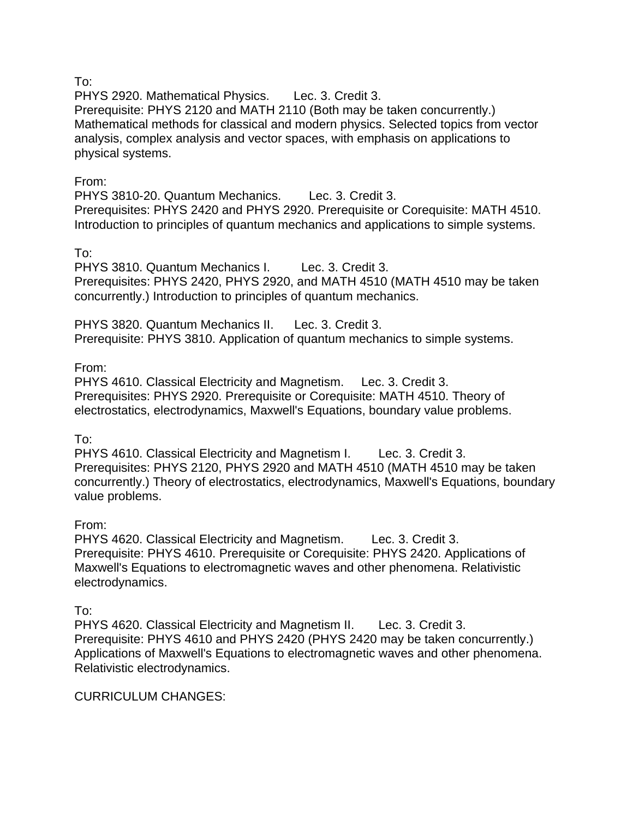To:

PHYS 2920. Mathematical Physics. Lec. 3. Credit 3. Prerequisite: PHYS 2120 and MATH 2110 (Both may be taken concurrently.) Mathematical methods for classical and modern physics. Selected topics from vector analysis, complex analysis and vector spaces, with emphasis on applications to physical systems.

## From:

PHYS 3810-20. Quantum Mechanics. Lec. 3. Credit 3. Prerequisites: PHYS 2420 and PHYS 2920. Prerequisite or Corequisite: MATH 4510. Introduction to principles of quantum mechanics and applications to simple systems.

# To:

PHYS 3810. Quantum Mechanics I. Lec. 3. Credit 3. Prerequisites: PHYS 2420, PHYS 2920, and MATH 4510 (MATH 4510 may be taken concurrently.) Introduction to principles of quantum mechanics.

PHYS 3820. Quantum Mechanics II. Lec. 3. Credit 3. Prerequisite: PHYS 3810. Application of quantum mechanics to simple systems.

# From:

PHYS 4610. Classical Electricity and Magnetism. Lec. 3. Credit 3. Prerequisites: PHYS 2920. Prerequisite or Corequisite: MATH 4510. Theory of electrostatics, electrodynamics, Maxwell's Equations, boundary value problems.

# To:

PHYS 4610. Classical Electricity and Magnetism I. Lec. 3. Credit 3. Prerequisites: PHYS 2120, PHYS 2920 and MATH 4510 (MATH 4510 may be taken concurrently.) Theory of electrostatics, electrodynamics, Maxwell's Equations, boundary value problems.

# From:

PHYS 4620. Classical Electricity and Magnetism. Lec. 3. Credit 3. Prerequisite: PHYS 4610. Prerequisite or Corequisite: PHYS 2420. Applications of Maxwell's Equations to electromagnetic waves and other phenomena. Relativistic electrodynamics.

#### To:

PHYS 4620. Classical Electricity and Magnetism II. Lec. 3. Credit 3. Prerequisite: PHYS 4610 and PHYS 2420 (PHYS 2420 may be taken concurrently.) Applications of Maxwell's Equations to electromagnetic waves and other phenomena. Relativistic electrodynamics.

#### CURRICULUM CHANGES: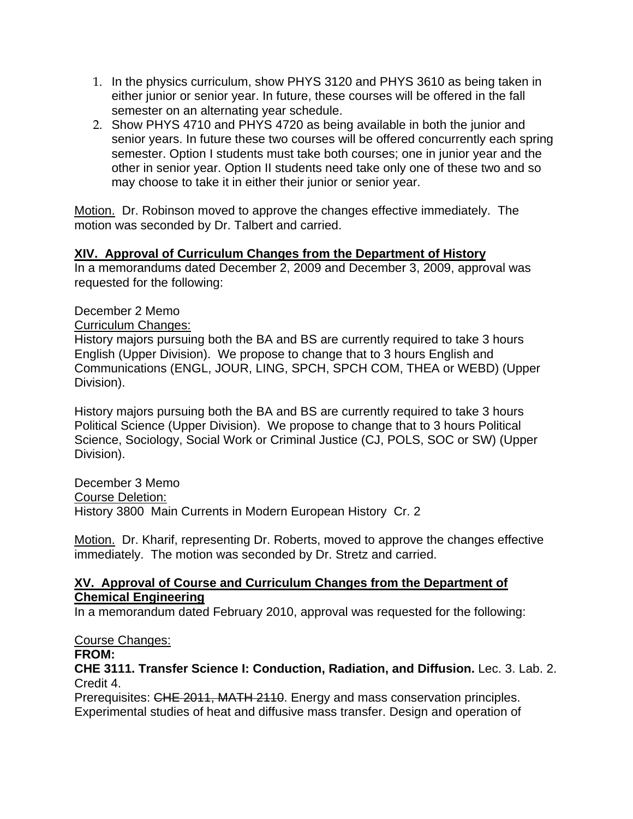- 1. In the physics curriculum, show PHYS 3120 and PHYS 3610 as being taken in either junior or senior year. In future, these courses will be offered in the fall semester on an alternating year schedule.
- 2. Show PHYS 4710 and PHYS 4720 as being available in both the junior and senior years. In future these two courses will be offered concurrently each spring semester. Option I students must take both courses; one in junior year and the other in senior year. Option II students need take only one of these two and so may choose to take it in either their junior or senior year.

Motion. Dr. Robinson moved to approve the changes effective immediately. The motion was seconded by Dr. Talbert and carried.

#### **XIV. Approval of Curriculum Changes from the Department of History**

In a memorandums dated December 2, 2009 and December 3, 2009, approval was requested for the following:

#### December 2 Memo

Curriculum Changes:

History majors pursuing both the BA and BS are currently required to take 3 hours English (Upper Division). We propose to change that to 3 hours English and Communications (ENGL, JOUR, LING, SPCH, SPCH COM, THEA or WEBD) (Upper Division).

History majors pursuing both the BA and BS are currently required to take 3 hours Political Science (Upper Division). We propose to change that to 3 hours Political Science, Sociology, Social Work or Criminal Justice (CJ, POLS, SOC or SW) (Upper Division).

December 3 Memo Course Deletion: History 3800 Main Currents in Modern European History Cr. 2

Motion. Dr. Kharif, representing Dr. Roberts, moved to approve the changes effective immediately. The motion was seconded by Dr. Stretz and carried.

#### **XV. Approval of Course and Curriculum Changes from the Department of Chemical Engineering**

In a memorandum dated February 2010, approval was requested for the following:

#### Course Changes:

#### **FROM:**

**CHE 3111. Transfer Science I: Conduction, Radiation, and Diffusion.** Lec. 3. Lab. 2. Credit 4.

Prerequisites: CHE 2011, MATH 2110. Energy and mass conservation principles. Experimental studies of heat and diffusive mass transfer. Design and operation of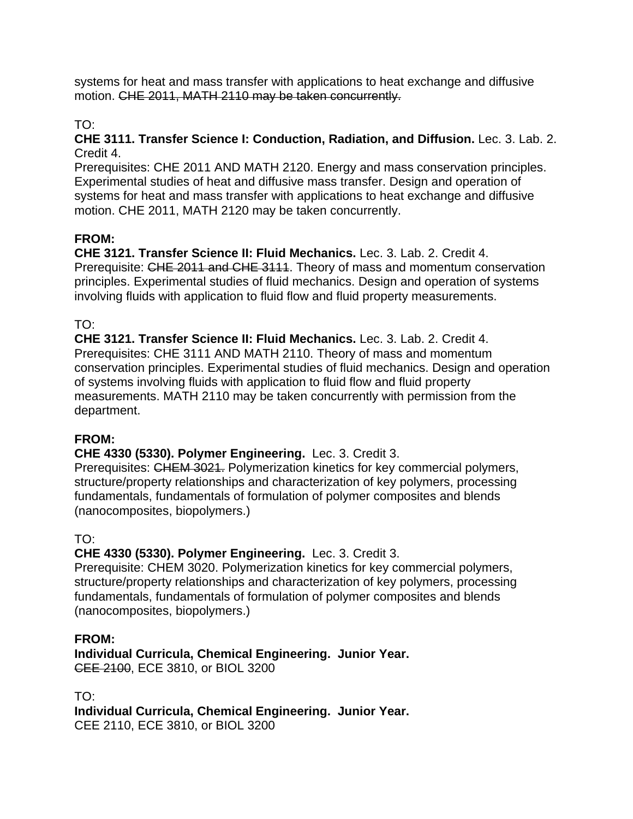systems for heat and mass transfer with applications to heat exchange and diffusive motion. CHE 2011, MATH 2110 may be taken concurrently.

# TO:

#### **CHE 3111. Transfer Science I: Conduction, Radiation, and Diffusion.** Lec. 3. Lab. 2. Credit 4.

Prerequisites: CHE 2011 AND MATH 2120. Energy and mass conservation principles. Experimental studies of heat and diffusive mass transfer. Design and operation of systems for heat and mass transfer with applications to heat exchange and diffusive motion. CHE 2011, MATH 2120 may be taken concurrently.

# **FROM:**

**CHE 3121. Transfer Science II: Fluid Mechanics.** Lec. 3. Lab. 2. Credit 4. Prerequisite: CHE 2011 and CHE 3111. Theory of mass and momentum conservation principles. Experimental studies of fluid mechanics. Design and operation of systems involving fluids with application to fluid flow and fluid property measurements.

# TO:

**CHE 3121. Transfer Science II: Fluid Mechanics.** Lec. 3. Lab. 2. Credit 4. Prerequisites: CHE 3111 AND MATH 2110. Theory of mass and momentum conservation principles. Experimental studies of fluid mechanics. Design and operation of systems involving fluids with application to fluid flow and fluid property measurements. MATH 2110 may be taken concurrently with permission from the department.

# **FROM:**

# **CHE 4330 (5330). Polymer Engineering.** Lec. 3. Credit 3.

Prerequisites: CHEM 3021. Polymerization kinetics for key commercial polymers, structure/property relationships and characterization of key polymers, processing fundamentals, fundamentals of formulation of polymer composites and blends (nanocomposites, biopolymers.)

# TO:

# **CHE 4330 (5330). Polymer Engineering.** Lec. 3. Credit 3.

Prerequisite: CHEM 3020. Polymerization kinetics for key commercial polymers, structure/property relationships and characterization of key polymers, processing fundamentals, fundamentals of formulation of polymer composites and blends (nanocomposites, biopolymers.)

# **FROM:**

**Individual Curricula, Chemical Engineering. Junior Year.**  CEE 2100, ECE 3810, or BIOL 3200

TO:

**Individual Curricula, Chemical Engineering. Junior Year.** 

CEE 2110, ECE 3810, or BIOL 3200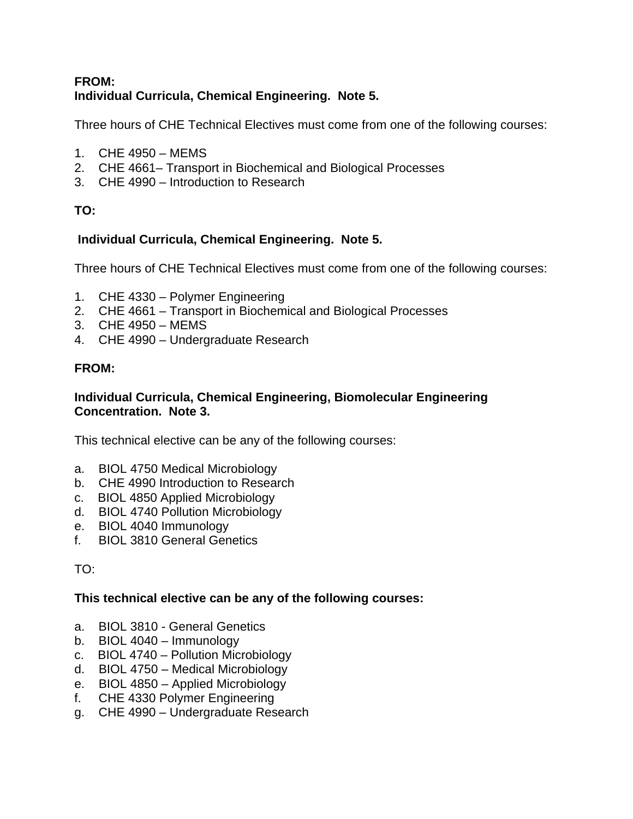#### **FROM: Individual Curricula, Chemical Engineering. Note 5.**

Three hours of CHE Technical Electives must come from one of the following courses:

- 1. CHE 4950 MEMS
- 2. CHE 4661– Transport in Biochemical and Biological Processes
- 3. CHE 4990 Introduction to Research

# **TO:**

# **Individual Curricula, Chemical Engineering. Note 5.**

Three hours of CHE Technical Electives must come from one of the following courses:

- 1. CHE 4330 Polymer Engineering
- 2. CHE 4661 Transport in Biochemical and Biological Processes
- 3. CHE 4950 MEMS
- 4. CHE 4990 Undergraduate Research

# **FROM:**

#### **Individual Curricula, Chemical Engineering, Biomolecular Engineering Concentration. Note 3.**

This technical elective can be any of the following courses:

- a. BIOL 4750 Medical Microbiology
- b. CHE 4990 Introduction to Research
- c. BIOL 4850 Applied Microbiology
- d. BIOL 4740 Pollution Microbiology
- e. BIOL 4040 Immunology
- f. BIOL 3810 General Genetics

#### TO:

#### **This technical elective can be any of the following courses:**

- a. BIOL 3810 General Genetics
- b. BIOL 4040 Immunology
- c. BIOL 4740 Pollution Microbiology
- d. BIOL 4750 Medical Microbiology
- e. BIOL 4850 Applied Microbiology
- f. CHE 4330 Polymer Engineering
- g. CHE 4990 Undergraduate Research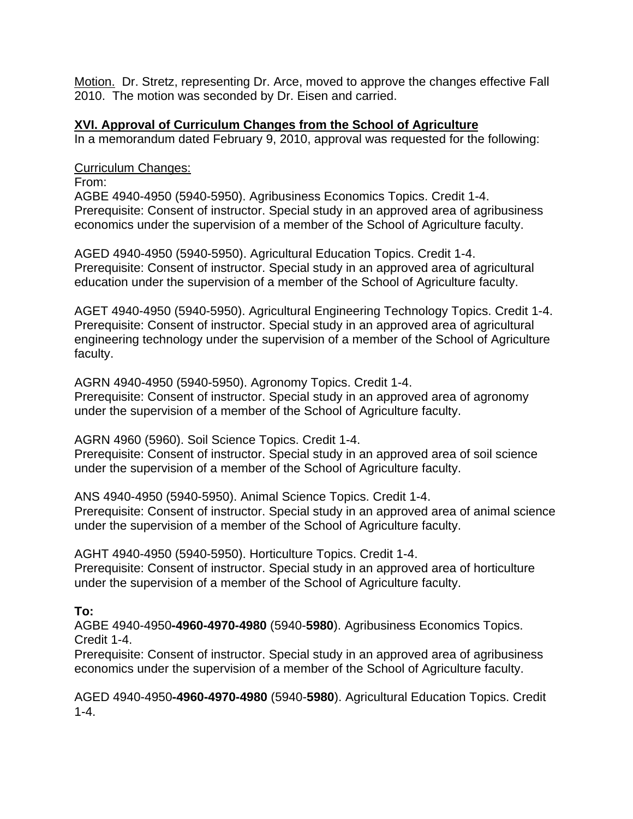Motion. Dr. Stretz, representing Dr. Arce, moved to approve the changes effective Fall 2010. The motion was seconded by Dr. Eisen and carried.

#### **XVI. Approval of Curriculum Changes from the School of Agriculture**

In a memorandum dated February 9, 2010, approval was requested for the following:

#### Curriculum Changes:

From:

AGBE 4940-4950 (5940-5950). Agribusiness Economics Topics. Credit 1-4. Prerequisite: Consent of instructor. Special study in an approved area of agribusiness economics under the supervision of a member of the School of Agriculture faculty.

AGED 4940-4950 (5940-5950). Agricultural Education Topics. Credit 1-4. Prerequisite: Consent of instructor. Special study in an approved area of agricultural education under the supervision of a member of the School of Agriculture faculty.

AGET 4940-4950 (5940-5950). Agricultural Engineering Technology Topics. Credit 1-4. Prerequisite: Consent of instructor. Special study in an approved area of agricultural engineering technology under the supervision of a member of the School of Agriculture faculty.

AGRN 4940-4950 (5940-5950). Agronomy Topics. Credit 1-4.

Prerequisite: Consent of instructor. Special study in an approved area of agronomy under the supervision of a member of the School of Agriculture faculty.

AGRN 4960 (5960). Soil Science Topics. Credit 1-4.

Prerequisite: Consent of instructor. Special study in an approved area of soil science under the supervision of a member of the School of Agriculture faculty.

ANS 4940-4950 (5940-5950). Animal Science Topics. Credit 1-4. Prerequisite: Consent of instructor. Special study in an approved area of animal science under the supervision of a member of the School of Agriculture faculty.

AGHT 4940-4950 (5940-5950). Horticulture Topics. Credit 1-4. Prerequisite: Consent of instructor. Special study in an approved area of horticulture under the supervision of a member of the School of Agriculture faculty.

# **To:**

AGBE 4940-4950**-4960-4970-4980** (5940-**5980**). Agribusiness Economics Topics. Credit 1-4.

Prerequisite: Consent of instructor. Special study in an approved area of agribusiness economics under the supervision of a member of the School of Agriculture faculty.

AGED 4940-4950**-4960-4970-4980** (5940-**5980**). Agricultural Education Topics. Credit 1-4.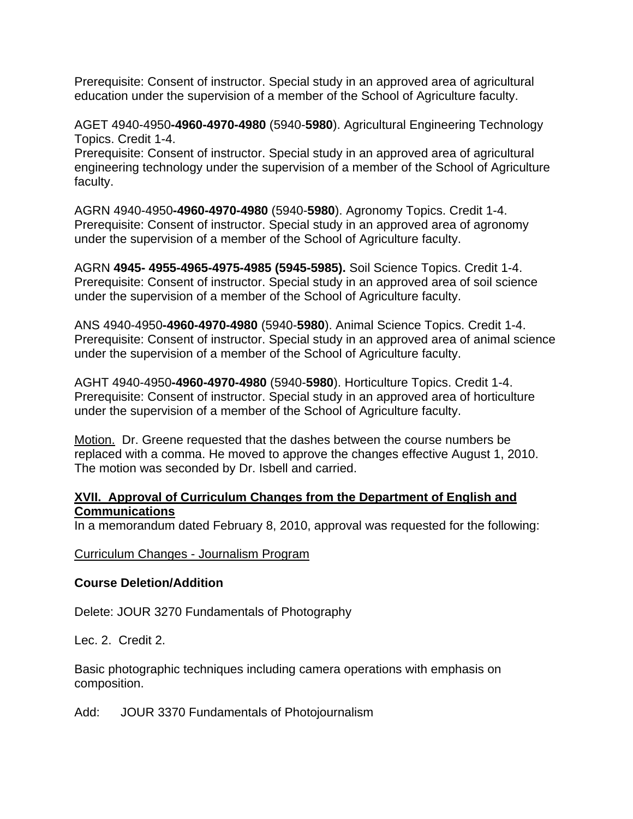Prerequisite: Consent of instructor. Special study in an approved area of agricultural education under the supervision of a member of the School of Agriculture faculty.

AGET 4940-4950**-4960-4970-4980** (5940-**5980**). Agricultural Engineering Technology Topics. Credit 1-4.

Prerequisite: Consent of instructor. Special study in an approved area of agricultural engineering technology under the supervision of a member of the School of Agriculture faculty.

AGRN 4940-4950**-4960-4970-4980** (5940-**5980**). Agronomy Topics. Credit 1-4. Prerequisite: Consent of instructor. Special study in an approved area of agronomy under the supervision of a member of the School of Agriculture faculty.

AGRN **4945- 4955-4965-4975-4985 (5945-5985).** Soil Science Topics. Credit 1-4. Prerequisite: Consent of instructor. Special study in an approved area of soil science under the supervision of a member of the School of Agriculture faculty.

ANS 4940-4950**-4960-4970-4980** (5940-**5980**). Animal Science Topics. Credit 1-4. Prerequisite: Consent of instructor. Special study in an approved area of animal science under the supervision of a member of the School of Agriculture faculty.

AGHT 4940-4950**-4960-4970-4980** (5940-**5980**). Horticulture Topics. Credit 1-4. Prerequisite: Consent of instructor. Special study in an approved area of horticulture under the supervision of a member of the School of Agriculture faculty.

Motion. Dr. Greene requested that the dashes between the course numbers be replaced with a comma. He moved to approve the changes effective August 1, 2010. The motion was seconded by Dr. Isbell and carried.

#### **XVII. Approval of Curriculum Changes from the Department of English and Communications**

In a memorandum dated February 8, 2010, approval was requested for the following:

#### Curriculum Changes - Journalism Program

#### **Course Deletion/Addition**

Delete: JOUR 3270 Fundamentals of Photography

Lec. 2. Credit 2.

Basic photographic techniques including camera operations with emphasis on composition.

Add: JOUR 3370 Fundamentals of Photojournalism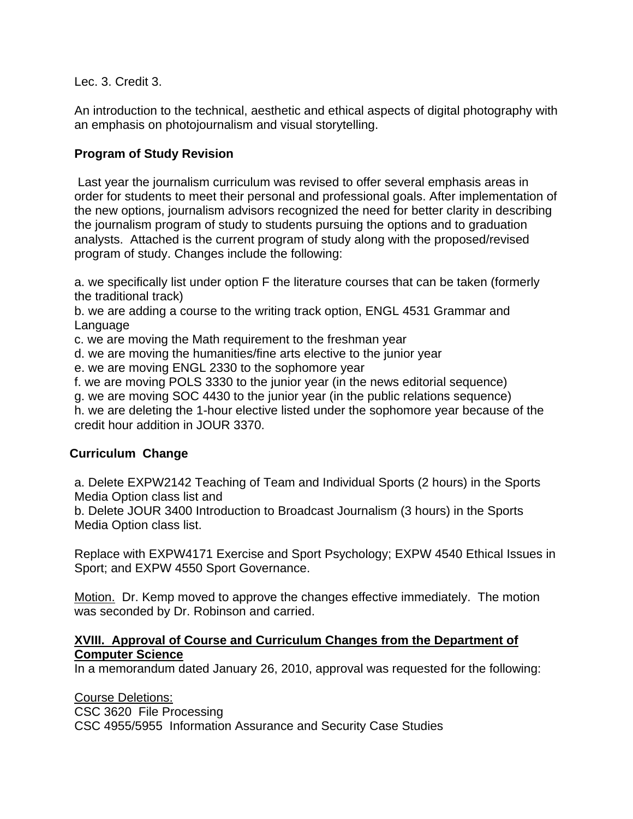Lec. 3. Credit 3.

An introduction to the technical, aesthetic and ethical aspects of digital photography with an emphasis on photojournalism and visual storytelling.

## **Program of Study Revision**

 Last year the journalism curriculum was revised to offer several emphasis areas in order for students to meet their personal and professional goals. After implementation of the new options, journalism advisors recognized the need for better clarity in describing the journalism program of study to students pursuing the options and to graduation analysts. Attached is the current program of study along with the proposed/revised program of study. Changes include the following:

a. we specifically list under option F the literature courses that can be taken (formerly the traditional track)

b. we are adding a course to the writing track option, ENGL 4531 Grammar and Language

c. we are moving the Math requirement to the freshman year

d. we are moving the humanities/fine arts elective to the junior year

e. we are moving ENGL 2330 to the sophomore year

f. we are moving POLS 3330 to the junior year (in the news editorial sequence)

g. we are moving SOC 4430 to the junior year (in the public relations sequence)

h. we are deleting the 1-hour elective listed under the sophomore year because of the credit hour addition in JOUR 3370.

#### **Curriculum Change**

a. Delete EXPW2142 Teaching of Team and Individual Sports (2 hours) in the Sports Media Option class list and

b. Delete JOUR 3400 Introduction to Broadcast Journalism (3 hours) in the Sports Media Option class list.

Replace with EXPW4171 Exercise and Sport Psychology; EXPW 4540 Ethical Issues in Sport; and EXPW 4550 Sport Governance.

Motion. Dr. Kemp moved to approve the changes effective immediately. The motion was seconded by Dr. Robinson and carried.

#### **XVIII. Approval of Course and Curriculum Changes from the Department of Computer Science**

In a memorandum dated January 26, 2010, approval was requested for the following:

Course Deletions: CSC 3620 File Processing CSC 4955/5955 Information Assurance and Security Case Studies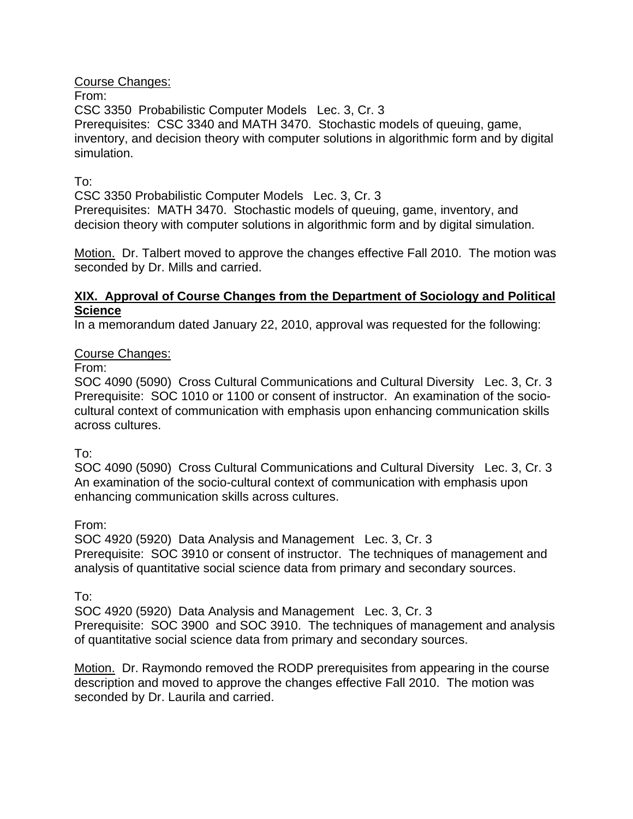Course Changes:

From:

CSC 3350 Probabilistic Computer Models Lec. 3, Cr. 3 Prerequisites: CSC 3340 and MATH 3470. Stochastic models of queuing, game, inventory, and decision theory with computer solutions in algorithmic form and by digital simulation.

#### To:

CSC 3350 Probabilistic Computer Models Lec. 3, Cr. 3 Prerequisites: MATH 3470. Stochastic models of queuing, game, inventory, and decision theory with computer solutions in algorithmic form and by digital simulation.

Motion. Dr. Talbert moved to approve the changes effective Fall 2010. The motion was seconded by Dr. Mills and carried.

#### **XIX. Approval of Course Changes from the Department of Sociology and Political Science**

In a memorandum dated January 22, 2010, approval was requested for the following:

#### Course Changes:

From:

SOC 4090 (5090) Cross Cultural Communications and Cultural Diversity Lec. 3, Cr. 3 Prerequisite: SOC 1010 or 1100 or consent of instructor. An examination of the sociocultural context of communication with emphasis upon enhancing communication skills across cultures.

#### To:

SOC 4090 (5090) Cross Cultural Communications and Cultural Diversity Lec. 3, Cr. 3 An examination of the socio-cultural context of communication with emphasis upon enhancing communication skills across cultures.

From:

SOC 4920 (5920) Data Analysis and Management Lec. 3, Cr. 3 Prerequisite: SOC 3910 or consent of instructor. The techniques of management and analysis of quantitative social science data from primary and secondary sources.

To:

SOC 4920 (5920) Data Analysis and Management Lec. 3, Cr. 3 Prerequisite: SOC 3900 and SOC 3910. The techniques of management and analysis of quantitative social science data from primary and secondary sources.

Motion. Dr. Raymondo removed the RODP prerequisites from appearing in the course description and moved to approve the changes effective Fall 2010. The motion was seconded by Dr. Laurila and carried.